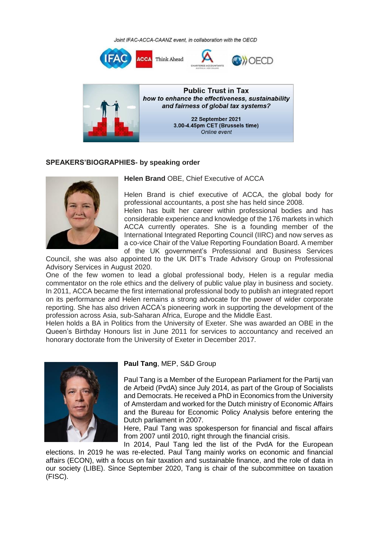Joint IFAC-ACCA-CAANZ event, in collaboration with the OECD





#### **SPEAKERS'BIOGRAPHIES- by speaking order**



## **Helen Brand** OBE, Chief Executive of ACCA

Helen Brand is chief executive of ACCA, the global body for professional accountants, a post she has held since 2008. Helen has built her career within professional bodies and has considerable experience and knowledge of the 176 markets in which

**NOFCD** 

ACCA currently operates. She is a founding member of the International Integrated Reporting Council (IIRC) and now serves as a co-vice Chair of the Value Reporting Foundation Board. A member of the UK government's Professional and Business Services

Council, she was also appointed to the UK DIT's Trade Advisory Group on Professional Advisory Services in August 2020.

One of the few women to lead a global professional body, Helen is a regular media commentator on the role ethics and the delivery of public value play in business and society. In 2011, ACCA became the first international professional body to publish an integrated report on its performance and Helen remains a strong advocate for the power of wider corporate reporting. She has also driven ACCA's pioneering work in supporting the development of the profession across Asia, sub-Saharan Africa, Europe and the Middle East.

Helen holds a BA in Politics from the University of Exeter. She was awarded an OBE in the Queen's Birthday Honours list in June 2011 for services to accountancy and received an honorary doctorate from the University of Exeter in December 2017.



### **Paul Tang**, MEP, S&D Group

Paul Tang is a Member of the European Parliament for the Partij van de Arbeid (PvdA) since July 2014, as part of the Group of Socialists and Democrats. He received a PhD in Economics from the University of Amsterdam and worked for the Dutch ministry of Economic Affairs and the Bureau for Economic Policy Analysis before entering the Dutch parliament in 2007.

Here, Paul Tang was spokesperson for financial and fiscal affairs from 2007 until 2010, right through the financial crisis.

In 2014, Paul Tang led the list of the PvdA for the European elections. In 2019 he was re-elected. Paul Tang mainly works on economic and financial affairs (ECON), with a focus on fair taxation and sustainable finance, and the role of data in our society (LIBE). Since September 2020, Tang is chair of the subcommittee on taxation (FISC).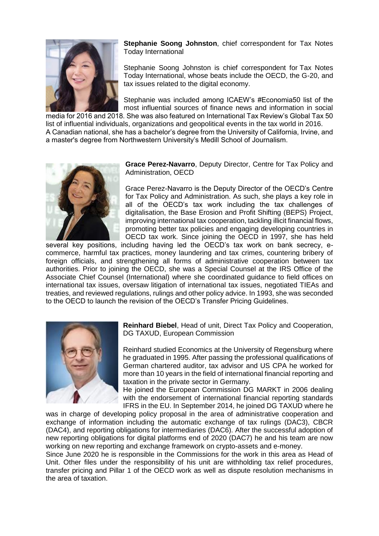

**Stephanie Soong Johnston**, chief correspondent for Tax Notes Today International

Stephanie Soong Johnston is chief correspondent for Tax Notes Today International, whose beats include the OECD, the G-20, and tax issues related to the digital economy.

Stephanie was included among ICAEW's #Economia50 list of the most influential sources of finance news and information in social

media for 2016 and 2018. She was also featured on International Tax Review's Global Tax 50 list of influential individuals, organizations and geopolitical events in the tax world in 2016. A Canadian national, she has a bachelor's degree from the University of California, Irvine, and a master's degree from Northwestern University's Medill School of Journalism.



**Grace Perez-Navarro**, Deputy Director, Centre for Tax Policy and Administration, OECD

Grace Perez-Navarro is the Deputy Director of the OECD's Centre for Tax Policy and Administration. As such, she plays a key role in all of the OECD's tax work including the tax challenges of digitalisation, the Base Erosion and Profit Shifting (BEPS) Project, improving international tax cooperation, tackling illicit financial flows, promoting better tax policies and engaging developing countries in OECD tax work. Since joining the OECD in 1997, she has held

several key positions, including having led the OECD's tax work on bank secrecy, ecommerce, harmful tax practices, money laundering and tax crimes, countering bribery of foreign officials, and strengthening all forms of administrative cooperation between tax authorities. Prior to joining the OECD, she was a Special Counsel at the IRS Office of the Associate Chief Counsel (International) where she coordinated guidance to field offices on international tax issues, oversaw litigation of international tax issues, negotiated TIEAs and treaties, and reviewed regulations, rulings and other policy advice. In 1993, she was seconded to the OECD to launch the revision of the OECD's Transfer Pricing Guidelines.



**Reinhard Biebel**, Head of unit, Direct Tax Policy and Cooperation, DG TAXUD, European Commission

Reinhard studied Economics at the University of Regensburg where he graduated in 1995. After passing the professional qualifications of German chartered auditor, tax advisor and US CPA he worked for more than 10 years in the field of international financial reporting and taxation in the private sector in Germany.

He joined the European Commission DG MARKT in 2006 dealing with the endorsement of international financial reporting standards IFRS in the EU. In September 2014, he joined DG TAXUD where he

was in charge of developing policy proposal in the area of administrative cooperation and exchange of information including the automatic exchange of tax rulings (DAC3), CBCR (DAC4), and reporting obligations for intermediaries (DAC6). After the successful adoption of new reporting obligations for digital platforms end of 2020 (DAC7) he and his team are now working on new reporting and exchange framework on crypto-assets and e-money.

Since June 2020 he is responsible in the Commissions for the work in this area as Head of Unit. Other files under the responsibility of his unit are withholding tax relief procedures, transfer pricing and Pillar 1 of the OECD work as well as dispute resolution mechanisms in the area of taxation.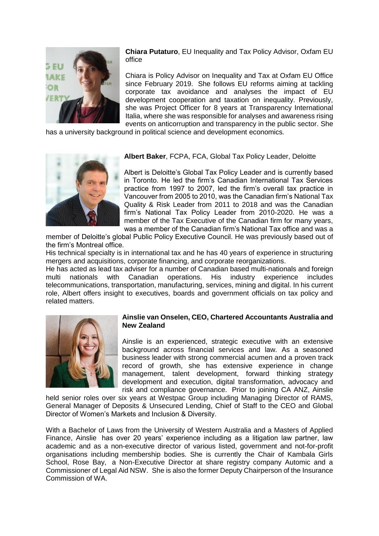

**Chiara Putaturo**, EU Inequality and Tax Policy Advisor, Oxfam EU office

Chiara is Policy Advisor on Inequality and Tax at Oxfam EU Office since February 2019. She follows EU reforms aiming at tackling corporate tax avoidance and analyses the impact of EU development cooperation and taxation on inequality. Previously, she was Project Officer for 8 years at Transparency International Italia, where she was responsible for analyses and awareness rising events on anticorruption and transparency in the public sector. She

has a university background in political science and development economics*.*



**Albert Baker**, FCPA, FCA, Global Tax Policy Leader, Deloitte

Albert is Deloitte's Global Tax Policy Leader and is currently based in Toronto. He led the firm's Canadian International Tax Services practice from 1997 to 2007, led the firm's overall tax practice in Vancouver from 2005 to 2010, was the Canadian firm's National Tax Quality & Risk Leader from 2011 to 2018 and was the Canadian firm's National Tax Policy Leader from 2010-2020. He was a member of the Tax Executive of the Canadian firm for many years, was a member of the Canadian firm's National Tax office and was a

member of Deloitte's global Public Policy Executive Council. He was previously based out of the firm's Montreal office.

His technical specialty is in international tax and he has 40 years of experience in structuring mergers and acquisitions, corporate financing, and corporate reorganizations.

He has acted as lead tax adviser for a number of Canadian based multi-nationals and foreign multi nationals with Canadian operations. His industry experience includes telecommunications, transportation, manufacturing, services, mining and digital. In his current role, Albert offers insight to executives, boards and government officials on tax policy and related matters.



## **Ainslie van Onselen, CEO, Chartered Accountants Australia and New Zealand**

Ainslie is an experienced, strategic executive with an extensive background across financial services and law. As a seasoned business leader with strong commercial acumen and a proven track record of growth, she has extensive experience in change management, talent development, forward thinking strategy development and execution, digital transformation, advocacy and risk and compliance governance. Prior to joining CA ANZ, Ainslie

held senior roles over six years at Westpac Group including Managing Director of RAMS, General Manager of Deposits & Unsecured Lending, Chief of Staff to the CEO and Global Director of Women's Markets and Inclusion & Diversity.

With a Bachelor of Laws from the University of Western Australia and a Masters of Applied Finance, Ainslie has over 20 years' experience including as a litigation law partner, law academic and as a non-executive director of various listed, government and not-for-profit organisations including membership bodies. She is currently the Chair of Kambala Girls School, Rose Bay, a Non-Executive Director at share registry company Automic and a Commissioner of Legal Aid NSW. She is also the former Deputy Chairperson of the Insurance Commission of WA.